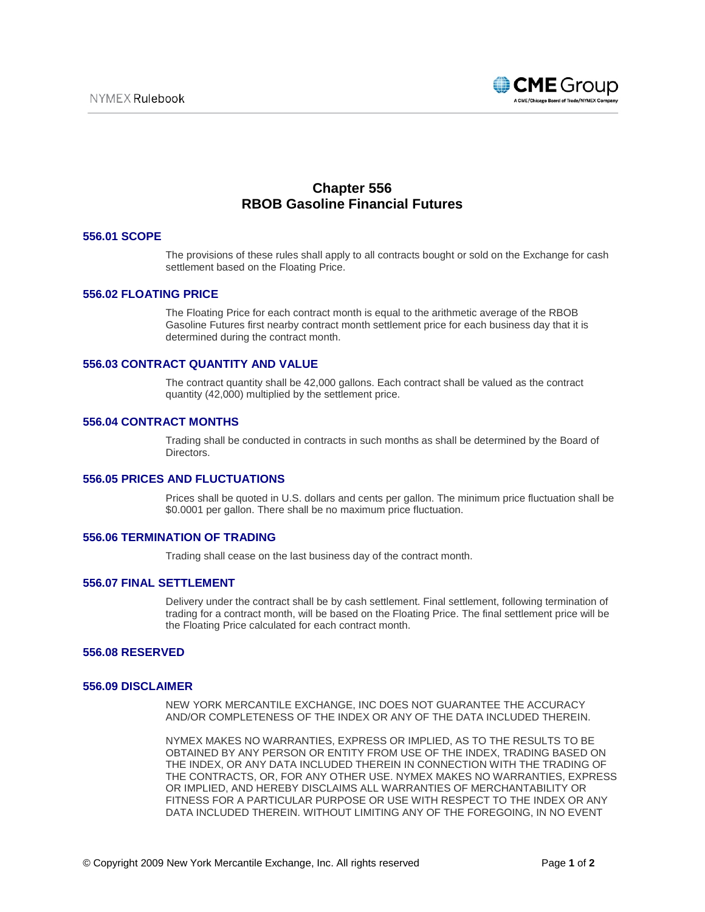

# **Chapter 556 RBOB Gasoline Financial Futures**

## **556.01 SCOPE**

The provisions of these rules shall apply to all contracts bought or sold on the Exchange for cash settlement based on the Floating Price.

## **556.02 FLOATING PRICE**

The Floating Price for each contract month is equal to the arithmetic average of the RBOB Gasoline Futures first nearby contract month settlement price for each business day that it is determined during the contract month.

#### **556.03 CONTRACT QUANTITY AND VALUE**

The contract quantity shall be 42,000 gallons. Each contract shall be valued as the contract quantity (42,000) multiplied by the settlement price.

# **556.04 CONTRACT MONTHS**

Trading shall be conducted in contracts in such months as shall be determined by the Board of Directors.

## **556.05 PRICES AND FLUCTUATIONS**

Prices shall be quoted in U.S. dollars and cents per gallon. The minimum price fluctuation shall be \$0.0001 per gallon. There shall be no maximum price fluctuation.

#### **556.06 TERMINATION OF TRADING**

Trading shall cease on the last business day of the contract month.

#### **556.07 FINAL SETTLEMENT**

Delivery under the contract shall be by cash settlement. Final settlement, following termination of trading for a contract month, will be based on the Floating Price. The final settlement price will be the Floating Price calculated for each contract month.

# **556.08 RESERVED**

#### **556.09 DISCLAIMER**

NEW YORK MERCANTILE EXCHANGE, INC DOES NOT GUARANTEE THE ACCURACY AND/OR COMPLETENESS OF THE INDEX OR ANY OF THE DATA INCLUDED THEREIN.

NYMEX MAKES NO WARRANTIES, EXPRESS OR IMPLIED, AS TO THE RESULTS TO BE OBTAINED BY ANY PERSON OR ENTITY FROM USE OF THE INDEX, TRADING BASED ON THE INDEX, OR ANY DATA INCLUDED THEREIN IN CONNECTION WITH THE TRADING OF THE CONTRACTS, OR, FOR ANY OTHER USE. NYMEX MAKES NO WARRANTIES, EXPRESS OR IMPLIED, AND HEREBY DISCLAIMS ALL WARRANTIES OF MERCHANTABILITY OR FITNESS FOR A PARTICULAR PURPOSE OR USE WITH RESPECT TO THE INDEX OR ANY DATA INCLUDED THEREIN. WITHOUT LIMITING ANY OF THE FOREGOING, IN NO EVENT